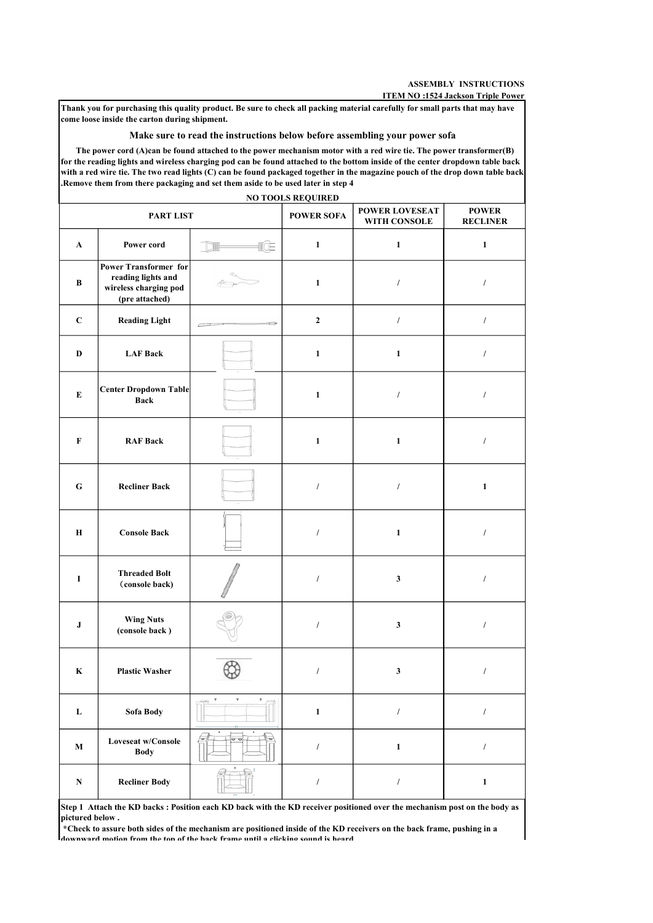### Make sure to read the instructions below before assembling your power sofa

|              |                                                                                        |                               |                          |                                                                                                                                                                                                                                                                                                                                                                                      | <b>ASSEMBLY INSTRUCTIONS</b><br>ITEM NO:1524 Jackson Triple Power |
|--------------|----------------------------------------------------------------------------------------|-------------------------------|--------------------------|--------------------------------------------------------------------------------------------------------------------------------------------------------------------------------------------------------------------------------------------------------------------------------------------------------------------------------------------------------------------------------------|-------------------------------------------------------------------|
|              | come loose inside the carton during shipment.                                          |                               |                          | Thank you for purchasing this quality product. Be sure to check all packing material carefully for small parts that may have<br>Make sure to read the instructions below before assembling your power sofa                                                                                                                                                                           |                                                                   |
|              | .Remove them from there packaging and set them aside to be used later in step 4        |                               | <b>NO TOOLS REQUIRED</b> | The power cord (A)can be found attached to the power mechanism motor with a red wire tie. The power transformer(B)<br>for the reading lights and wireless charging pod can be found attached to the bottom inside of the center dropdown table back<br>with a red wire tie. The two read lights (C) can be found packaged together in the magazine pouch of the drop down table back |                                                                   |
| PART LIST    |                                                                                        |                               | <b>POWER SOFA</b>        | POWER LOVESEAT<br>WITH CONSOLE                                                                                                                                                                                                                                                                                                                                                       | <b>POWER</b><br><b>RECLINER</b>                                   |
| $\mathbf{A}$ | Power cord                                                                             | IŒ                            | $\mathbf{1}$             | $\mathbf{1}$                                                                                                                                                                                                                                                                                                                                                                         | 1                                                                 |
| B            | Power Transformer for<br>reading lights and<br>wireless charging pod<br>(pre attached) |                               | 1                        |                                                                                                                                                                                                                                                                                                                                                                                      |                                                                   |
| $\mathbf C$  | <b>Reading Light</b>                                                                   | Ð<br>$\overline{\phantom{1}}$ | $\mathbf{2}$             | $\prime$                                                                                                                                                                                                                                                                                                                                                                             | $\prime$                                                          |
| D            | <b>LAF Back</b>                                                                        |                               | 1                        | $\mathbf{1}$                                                                                                                                                                                                                                                                                                                                                                         | $\prime$                                                          |
| E            | Center Dropdown Table<br><b>Back</b>                                                   |                               | 1                        |                                                                                                                                                                                                                                                                                                                                                                                      |                                                                   |
| F            | <b>RAF Back</b>                                                                        |                               | 1                        | 1                                                                                                                                                                                                                                                                                                                                                                                    |                                                                   |
| G            | <b>Recliner Back</b>                                                                   |                               |                          |                                                                                                                                                                                                                                                                                                                                                                                      | 1                                                                 |
| Н            | <b>Console Back</b>                                                                    |                               | $\prime$                 | $\mathbf{1}$                                                                                                                                                                                                                                                                                                                                                                         | $\prime$                                                          |
| $\bf{I}$     | <b>Threaded Bolt</b><br>(console back)                                                 |                               |                          | $\mathbf{3}$                                                                                                                                                                                                                                                                                                                                                                         |                                                                   |
| $\bf J$      | <b>Wing Nuts</b><br>(console back)                                                     |                               |                          | 3                                                                                                                                                                                                                                                                                                                                                                                    |                                                                   |
| K            | <b>Plastic Washer</b>                                                                  |                               |                          | $\mathbf{3}$                                                                                                                                                                                                                                                                                                                                                                         |                                                                   |
| L            | Sofa Body                                                                              |                               | $\mathbf{1}$             |                                                                                                                                                                                                                                                                                                                                                                                      |                                                                   |
| $\mathbf{M}$ | <b>Loveseat w/Console</b><br><b>Body</b>                                               |                               | $\prime$                 | 1                                                                                                                                                                                                                                                                                                                                                                                    |                                                                   |
| N            | <b>Recliner Body</b>                                                                   |                               |                          |                                                                                                                                                                                                                                                                                                                                                                                      | 1                                                                 |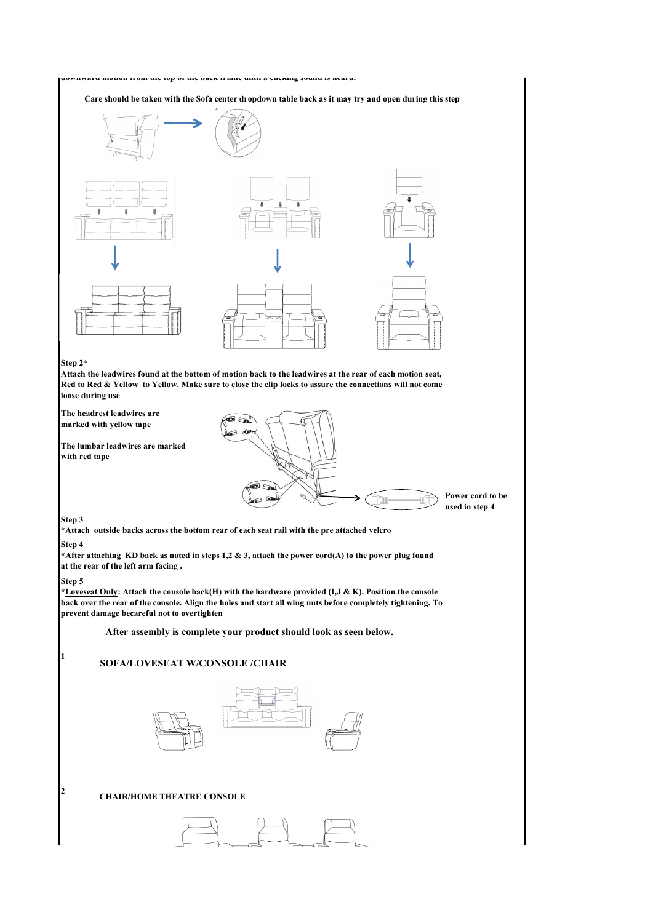

Care should be taken with the Sofa center dropdown table back as it may try and open during this step



## Step 2\*

Attach the leadwires found at the bottom of motion back to the leadwires at the rear of each motion seat, Red to Red & Yellow to Yellow. Make sure to close the clip locks to assure the connections will not come loose during use

The headrest leadwires are  $\sqrt{25}$ marked with yellow tape

The lumbar leadwires are marked with red tape



## Step 3

\*Attach outside backs across the bottom rear of each seat rail with the pre attached velcro

## Step 4

\*After attaching KD back as noted in steps 1,2 & 3, attach the power cord(A) to the power plug found at the rear of the left arm facing .

## Step 5

\*Loveseat Only: Attach the console back(H) with the hardware provided (I,J & K). Position the console back over the rear of the console. Align the holes and start all wing nuts before completely tightening. To prevent damage becareful not to overtighten

After assembly is complete your product should look as seen below.

# 1 SOFA/LOVESEAT W/CONSOLE /CHAIR



## <sup>2</sup> CHAIR/HOME THEATRE CONSOLE

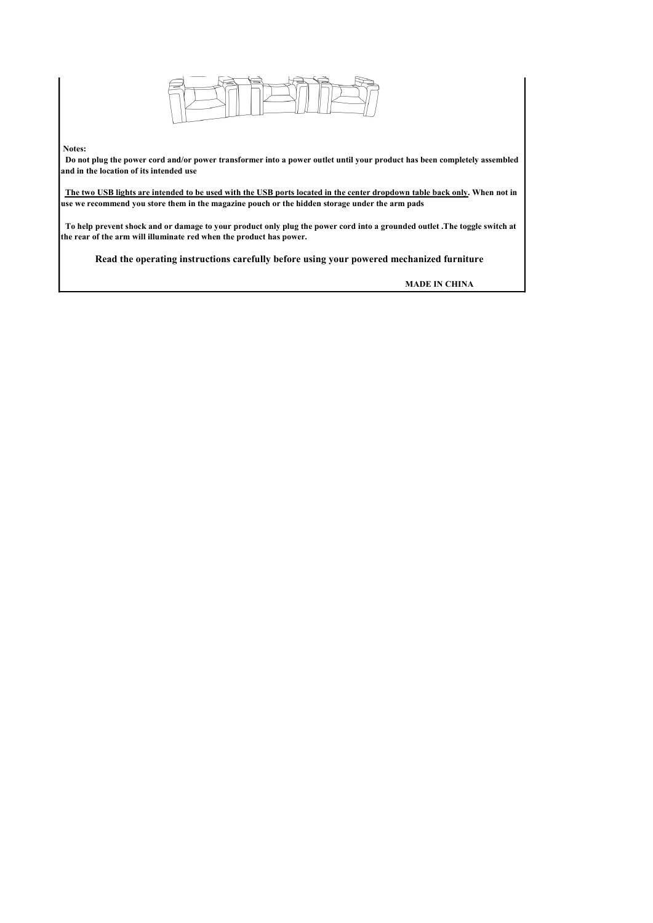

## Notes:

 Do not plug the power cord and/or power transformer into a power outlet until your product has been completely assembled and in the location of its intended use

 The two USB lights are intended to be used with the USB ports located in the center dropdown table back only. When not in use we recommend you store them in the magazine pouch or the hidden storage under the arm pads

 To help prevent shock and or damage to your product only plug the power cord into a grounded outlet .The toggle switch at the rear of the arm will illuminate red when the product has power.

Read the operating instructions carefully before using your powered mechanized furniture

MADE IN CHINA